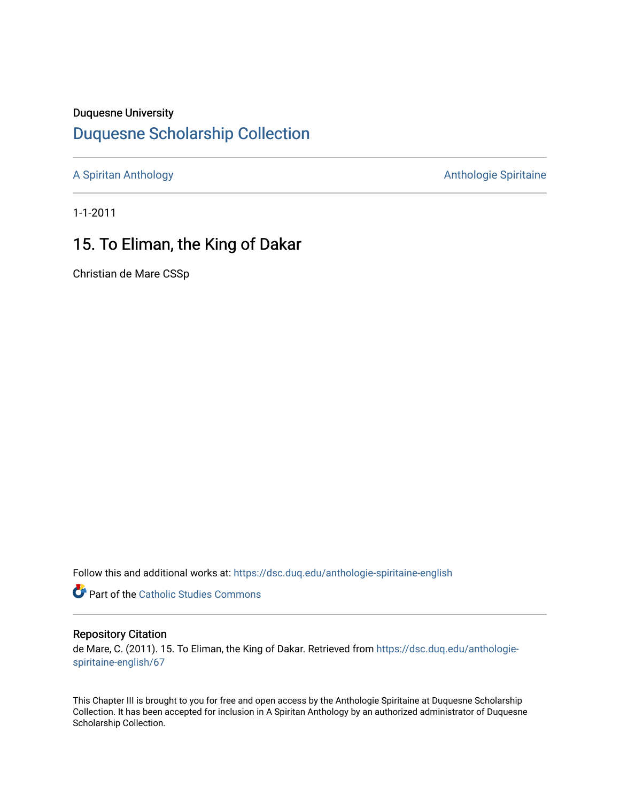#### Duquesne University

# [Duquesne Scholarship Collection](https://dsc.duq.edu/)

[A Spiritan Anthology](https://dsc.duq.edu/anthologie-spiritaine-english) **Anthology** Anthologie Spiritaine

1-1-2011

## 15. To Eliman, the King of Dakar

Christian de Mare CSSp

Follow this and additional works at: [https://dsc.duq.edu/anthologie-spiritaine-english](https://dsc.duq.edu/anthologie-spiritaine-english?utm_source=dsc.duq.edu%2Fanthologie-spiritaine-english%2F67&utm_medium=PDF&utm_campaign=PDFCoverPages)

**Part of the [Catholic Studies Commons](http://network.bepress.com/hgg/discipline/1294?utm_source=dsc.duq.edu%2Fanthologie-spiritaine-english%2F67&utm_medium=PDF&utm_campaign=PDFCoverPages)** 

#### Repository Citation

de Mare, C. (2011). 15. To Eliman, the King of Dakar. Retrieved from [https://dsc.duq.edu/anthologie](https://dsc.duq.edu/anthologie-spiritaine-english/67?utm_source=dsc.duq.edu%2Fanthologie-spiritaine-english%2F67&utm_medium=PDF&utm_campaign=PDFCoverPages)[spiritaine-english/67](https://dsc.duq.edu/anthologie-spiritaine-english/67?utm_source=dsc.duq.edu%2Fanthologie-spiritaine-english%2F67&utm_medium=PDF&utm_campaign=PDFCoverPages) 

This Chapter III is brought to you for free and open access by the Anthologie Spiritaine at Duquesne Scholarship Collection. It has been accepted for inclusion in A Spiritan Anthology by an authorized administrator of Duquesne Scholarship Collection.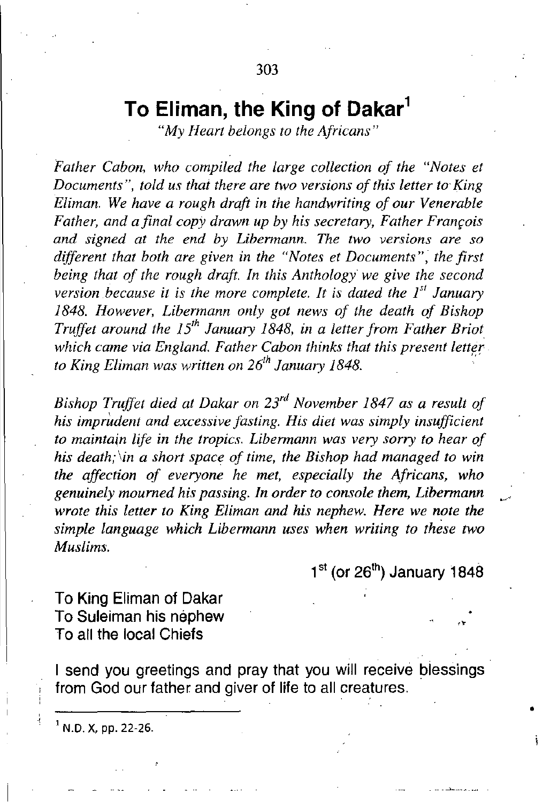# **To Eliman, the King of Dakar'**

*"My Heart belongs to the Africans"*

*Father Caban, who compiled the large collection of the "Notes et Documents* ", *told us thai there are two versions ofthis letter to' King Eliman. We have a rough draft in the handwriting of our Venerable Father, and a final copy drawn up by his secretary, Father Francois and signed at the end by Libermann. The two versions are so different that both are given in the "Notes et Documents", the first being that of the rough draft. In this Anthology we give the second version* .*because it* is *the more complete. It* is *dated the I" January 1848. However, Libermann only got news of the death of Bishop Truffet around the 15th January* 1848, *in a letter from Father Briot which came via England. Father Cabon thinks that this present letter to King Eliman was written on 26th January 1848.*

*Bishop Truffet died at Dakar on 23r<1 November* 1847 *as a result of his imprudent and excessive fasting. His diet was simply insufficient to maintain life in the tropics. Libermann was very sorry to hear of his death; lin a short space of time, the Bishop had managed to win the affection of everyone he met, especially the Africans, who genuinely mourned his passing. In order to console them, Libermann wrote this letter to King Eliman and his nephew. Here we note the simple language which Libermann uses when writing to these two Muslims.*

 $1<sup>st</sup>$  (or 26<sup>th</sup>) January 1848

•

**To King Eliman of Dakar To Suleiman his nephew To all the local Chiefs**

**I send you greetings and pray that you will receive blessings from God our father and giver of life to all creatures.**

 $1$  N.D. X, pp. 22-26.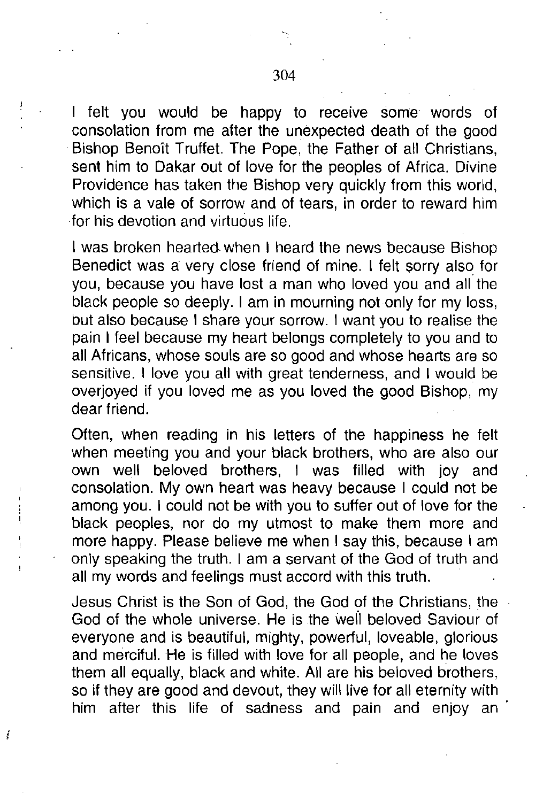I felt you would be happy to receive some words of consolation from me after the unexpected death of the good Bishop Benoit Truffet. The Pope, the Father of all Christians, sent him to Dakar out of love for the peoples of Africa. Divine Providence has taken the Bishop very quickly from this world, which is a vale of sorrow and of tears, in order to reward him for his devotion and virtuous life.

I was broken hearted when I heard the news because Bishop Benedict was a very close friend of mine. I felt sorry also for you, because you have lost a man who loved you and all the black people so deeply. I am in mourning not only for my loss, but also because I share your sorrow. I want you to realise the pain I feel because my heart belongs completely to you and to all Africans, whose souls are so good and whose hearts are so sensitive. I love you all with great tenderness, and I would be overjoyed if you loved me as you loved the good Bishop, my dear friend.

Often, when reading in his letters of the happiness he felt when meeting you and your black brothers, who are also our own well beloved brothers, I was filled with joy and consolation. My own heart was heavy because I could not be among you. I could not be with you to suffer out of love for the black peoples, nor do my utmost to make them more and more happy. Please believe me when I say this, because I am only speaking the truth. I am a servant of the God of truth and all my words and feelings must accord with this truth.

Jesus Christ is the Son of God, the God of the Christians, the God of the whole universe. He is the weil beloved Saviour of everyone and is beautiful, mighty, powerful, loveable, glorious and merciful. He is filled with love for all people, and he loves them all equally, black and white. All are his beloved brothers, so if they are good and devout, they will live for all eternity with him after this life of sadness and pain and enjoy an'

ţ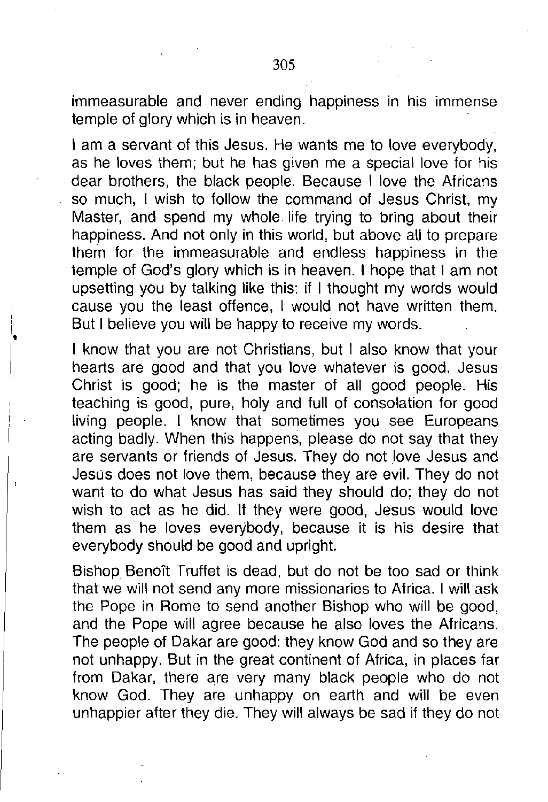immeasurable and never ending happiness in his immense temple of glory which is in heaven.

I am a servant of this Jesus. He wants me to love everybody, as he loves them; but he has given me a special love for his dear brothers, the black people. Because I love the Africans so much, I wish to follow the command of Jesus Christ, my Master, and spend my whole life trying to bring about their happiness. And not only in this world, but above all to prepare them for the immeasurable and endless happiness in the temple of God's glory which is in heaven. I hope that I am not upsetting you by talking like this: if I thought my words would cause you the least offence, I would not have written them. But I believe you will be happy to receive my words.

I know that you are not Christians, but I also know that your hearts are good and that you love whatever is good. Jesus Christ is good; he is the master of all good people. His teaching is good, pure, holy and full of consolation for good living people. I know that sometimes you see Europeans acting badly. When this happens, please do not say that they are servants or friends of Jesus. They do not love Jesus and Jesus does not love them, because they are evil. They do not want to do what Jesus has said they should do; they do not wish to act as he did. If they were good, Jesus would love them as he loves everybody, because it is his desire that everybody should be good and upright.

Bishop Benoit Truffet is dead, but do not be too sad or think that we will not send any more missionaries to Africa. I will ask the Pope in Rome to send another Bishop who will be good, and the Pope will agree because he also loves the Africans. The people of Dakar are good: they know God and so they are not unhappy. But in the great continent of Africa, in places far from Dakar, there are very many black people who do not know God. They are unhappy on earth and will be even unhappier after they die. They will always be sad if they do not